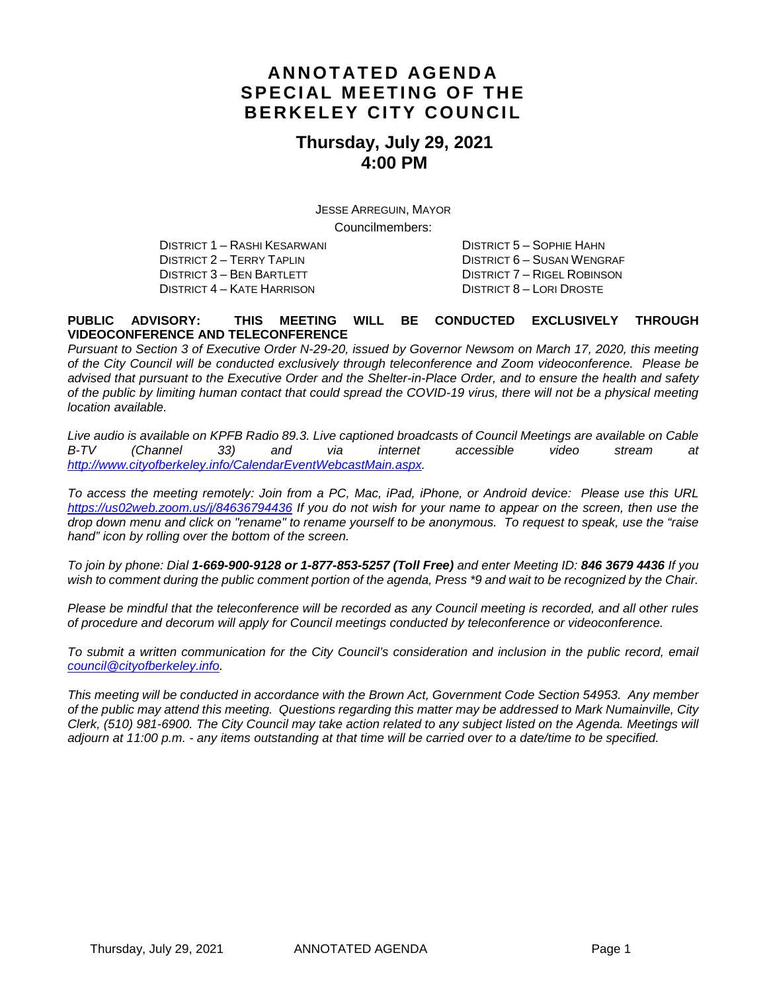### **ANNOTATED AGENDA SPECIAL MEETING OF THE BERKELEY CITY COUNCIL**

### **Thursday, July 29, 2021 4:00 PM**

JESSE ARREGUIN, MAYOR Councilmembers:

DISTRICT 1 – RASHI KESARWANI DISTRICT 5 – SOPHIE HAHN DISTRICT 3 – BEN BARTLETT DISTRICT 7 – RIGEL ROBINSON DISTRICT 4 – KATE HARRISON DISTRICT 8 – LORI DROSTE

DISTRICT 6 – SUSAN WENGRAF

#### **PUBLIC ADVISORY: THIS MEETING WILL BE CONDUCTED EXCLUSIVELY THROUGH VIDEOCONFERENCE AND TELECONFERENCE**

*Pursuant to Section 3 of Executive Order N-29-20, issued by Governor Newsom on March 17, 2020, this meeting of the City Council will be conducted exclusively through teleconference and Zoom videoconference. Please be advised that pursuant to the Executive Order and the Shelter-in-Place Order, and to ensure the health and safety of the public by limiting human contact that could spread the COVID-19 virus, there will not be a physical meeting location available.* 

*Live audio is available on KPFB Radio 89.3. Live captioned broadcasts of Council Meetings are available on Cable B-TV (Channel 33) and via internet accessible video stream at [http://www.cityofberkeley.info/CalendarEventWebcastMain.aspx.](http://www.cityofberkeley.info/CalendarEventWebcastMain.aspx)*

*To access the meeting remotely: Join from a PC, Mac, iPad, iPhone, or Android device: Please use this URL <https://us02web.zoom.us/j/84636794436> If you do not wish for your name to appear on the screen, then use the drop down menu and click on "rename" to rename yourself to be anonymous. To request to speak, use the "raise hand" icon by rolling over the bottom of the screen.* 

*To join by phone: Dial 1-669-900-9128 or 1-877-853-5257 (Toll Free) and enter Meeting ID: 846 3679 4436 If you*  wish to comment during the public comment portion of the agenda, Press \*9 and wait to be recognized by the Chair.

*Please be mindful that the teleconference will be recorded as any Council meeting is recorded, and all other rules of procedure and decorum will apply for Council meetings conducted by teleconference or videoconference.*

To submit a written communication for the City Council's consideration and inclusion in the public record, email *[council@cityofberkeley.info.](mailto:council@cityofberkeley.info)*

*This meeting will be conducted in accordance with the Brown Act, Government Code Section 54953. Any member of the public may attend this meeting. Questions regarding this matter may be addressed to Mark Numainville, City Clerk, (510) 981-6900. The City Council may take action related to any subject listed on the Agenda. Meetings will adjourn at 11:00 p.m. - any items outstanding at that time will be carried over to a date/time to be specified.*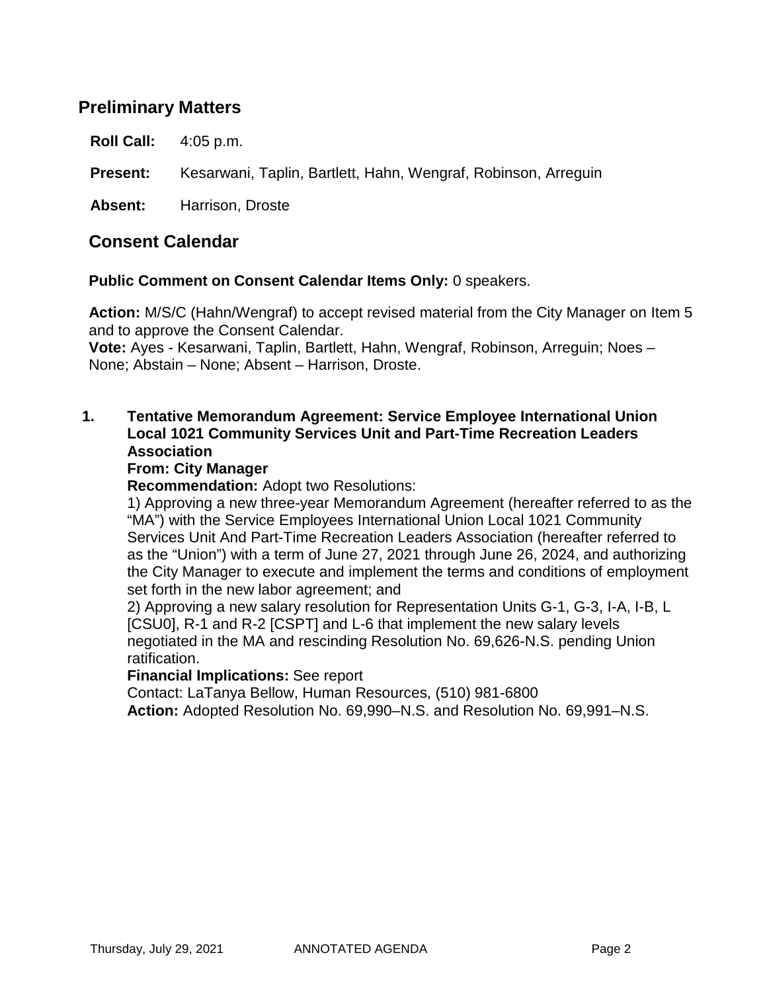## **Preliminary Matters**

**Roll Call:** 4:05 p.m.

**Present:** Kesarwani, Taplin, Bartlett, Hahn, Wengraf, Robinson, Arreguin

**Absent:** Harrison, Droste

### **Consent Calendar**

**Public Comment on Consent Calendar Items Only:** 0 speakers.

**Action:** M/S/C (Hahn/Wengraf) to accept revised material from the City Manager on Item 5 and to approve the Consent Calendar.

**Vote:** Ayes - Kesarwani, Taplin, Bartlett, Hahn, Wengraf, Robinson, Arreguin; Noes – None; Abstain – None; Absent – Harrison, Droste.

#### **1. Tentative Memorandum Agreement: Service Employee International Union Local 1021 Community Services Unit and Part-Time Recreation Leaders Association**

#### **From: City Manager**

**Recommendation:** Adopt two Resolutions:

1) Approving a new three-year Memorandum Agreement (hereafter referred to as the "MA") with the Service Employees International Union Local 1021 Community Services Unit And Part-Time Recreation Leaders Association (hereafter referred to as the "Union") with a term of June 27, 2021 through June 26, 2024, and authorizing the City Manager to execute and implement the terms and conditions of employment set forth in the new labor agreement; and

2) Approving a new salary resolution for Representation Units G-1, G-3, I-A, I-B, L [CSU0], R-1 and R-2 [CSPT] and L-6 that implement the new salary levels negotiated in the MA and rescinding Resolution No. 69,626-N.S. pending Union ratification.

#### **Financial Implications:** See report

Contact: LaTanya Bellow, Human Resources, (510) 981-6800 **Action:** Adopted Resolution No. 69,990–N.S. and Resolution No. 69,991–N.S.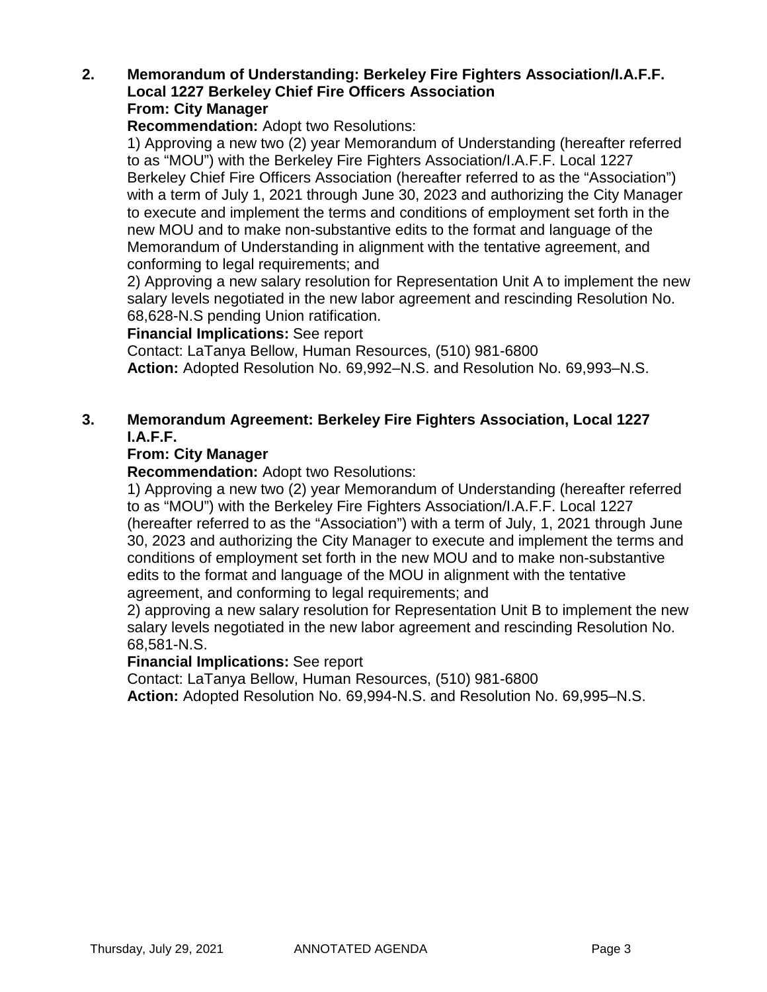#### **2. Memorandum of Understanding: Berkeley Fire Fighters Association/I.A.F.F. Local 1227 Berkeley Chief Fire Officers Association From: City Manager**

**Recommendation:** Adopt two Resolutions:

1) Approving a new two (2) year Memorandum of Understanding (hereafter referred to as "MOU") with the Berkeley Fire Fighters Association/I.A.F.F. Local 1227 Berkeley Chief Fire Officers Association (hereafter referred to as the "Association") with a term of July 1, 2021 through June 30, 2023 and authorizing the City Manager to execute and implement the terms and conditions of employment set forth in the new MOU and to make non-substantive edits to the format and language of the Memorandum of Understanding in alignment with the tentative agreement, and conforming to legal requirements; and

2) Approving a new salary resolution for Representation Unit A to implement the new salary levels negotiated in the new labor agreement and rescinding Resolution No. 68,628-N.S pending Union ratification.

#### **Financial Implications:** See report

Contact: LaTanya Bellow, Human Resources, (510) 981-6800 **Action:** Adopted Resolution No. 69,992–N.S. and Resolution No. 69,993–N.S.

#### **3. Memorandum Agreement: Berkeley Fire Fighters Association, Local 1227 I.A.F.F.**

#### **From: City Manager**

**Recommendation:** Adopt two Resolutions:

1) Approving a new two (2) year Memorandum of Understanding (hereafter referred to as "MOU") with the Berkeley Fire Fighters Association/I.A.F.F. Local 1227 (hereafter referred to as the "Association") with a term of July, 1, 2021 through June 30, 2023 and authorizing the City Manager to execute and implement the terms and conditions of employment set forth in the new MOU and to make non-substantive edits to the format and language of the MOU in alignment with the tentative agreement, and conforming to legal requirements; and

2) approving a new salary resolution for Representation Unit B to implement the new salary levels negotiated in the new labor agreement and rescinding Resolution No. 68,581-N.S.

#### **Financial Implications:** See report

Contact: LaTanya Bellow, Human Resources, (510) 981-6800

**Action:** Adopted Resolution No. 69,994-N.S. and Resolution No. 69,995–N.S.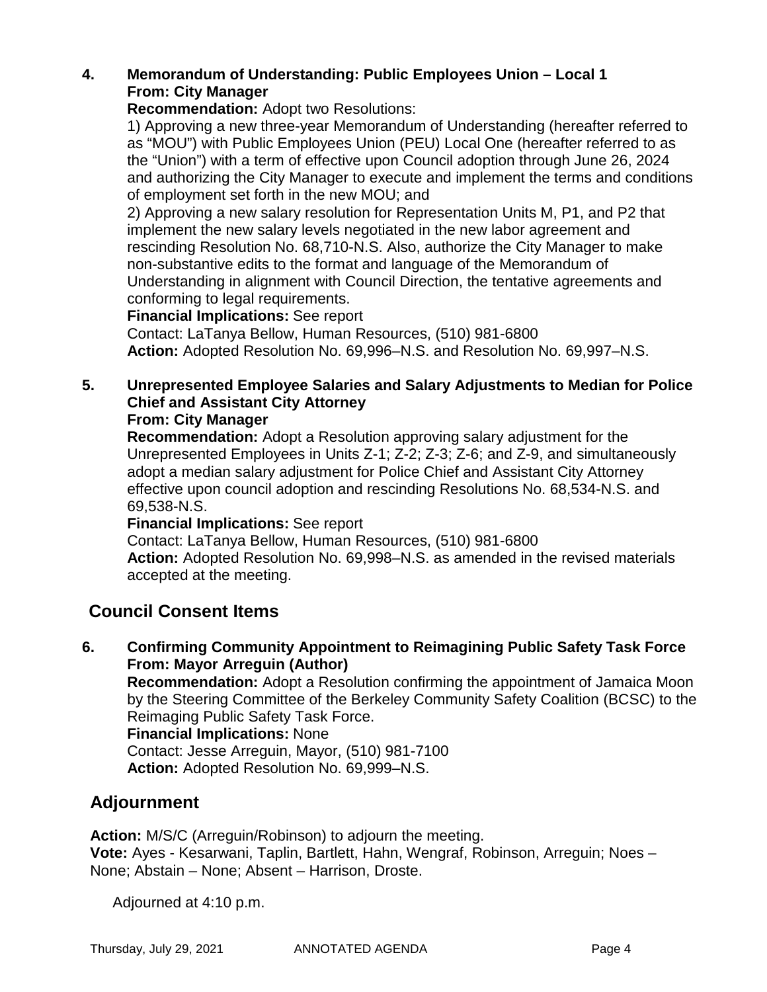### **4. Memorandum of Understanding: Public Employees Union – Local 1 From: City Manager**

**Recommendation:** Adopt two Resolutions:

1) Approving a new three-year Memorandum of Understanding (hereafter referred to as "MOU") with Public Employees Union (PEU) Local One (hereafter referred to as the "Union") with a term of effective upon Council adoption through June 26, 2024 and authorizing the City Manager to execute and implement the terms and conditions of employment set forth in the new MOU; and

2) Approving a new salary resolution for Representation Units M, P1, and P2 that implement the new salary levels negotiated in the new labor agreement and rescinding Resolution No. 68,710-N.S. Also, authorize the City Manager to make non-substantive edits to the format and language of the Memorandum of Understanding in alignment with Council Direction, the tentative agreements and conforming to legal requirements.

### **Financial Implications:** See report

Contact: LaTanya Bellow, Human Resources, (510) 981-6800 **Action:** Adopted Resolution No. 69,996–N.S. and Resolution No. 69,997–N.S.

## **5. Unrepresented Employee Salaries and Salary Adjustments to Median for Police Chief and Assistant City Attorney**

### **From: City Manager**

**Recommendation:** Adopt a Resolution approving salary adjustment for the Unrepresented Employees in Units Z-1; Z-2; Z-3; Z-6; and Z-9, and simultaneously adopt a median salary adjustment for Police Chief and Assistant City Attorney effective upon council adoption and rescinding Resolutions No. 68,534-N.S. and 69,538-N.S.

#### **Financial Implications:** See report

Contact: LaTanya Bellow, Human Resources, (510) 981-6800 **Action:** Adopted Resolution No. 69,998–N.S. as amended in the revised materials accepted at the meeting.

## **Council Consent Items**

**6. Confirming Community Appointment to Reimagining Public Safety Task Force From: Mayor Arreguin (Author)**

**Recommendation:** Adopt a Resolution confirming the appointment of Jamaica Moon by the Steering Committee of the Berkeley Community Safety Coalition (BCSC) to the Reimaging Public Safety Task Force.

#### **Financial Implications:** None

Contact: Jesse Arreguin, Mayor, (510) 981-7100 **Action:** Adopted Resolution No. 69,999–N.S.

## **Adjournment**

**Action:** M/S/C (Arreguin/Robinson) to adjourn the meeting. **Vote:** Ayes - Kesarwani, Taplin, Bartlett, Hahn, Wengraf, Robinson, Arreguin; Noes – None; Abstain – None; Absent – Harrison, Droste.

Adjourned at 4:10 p.m.